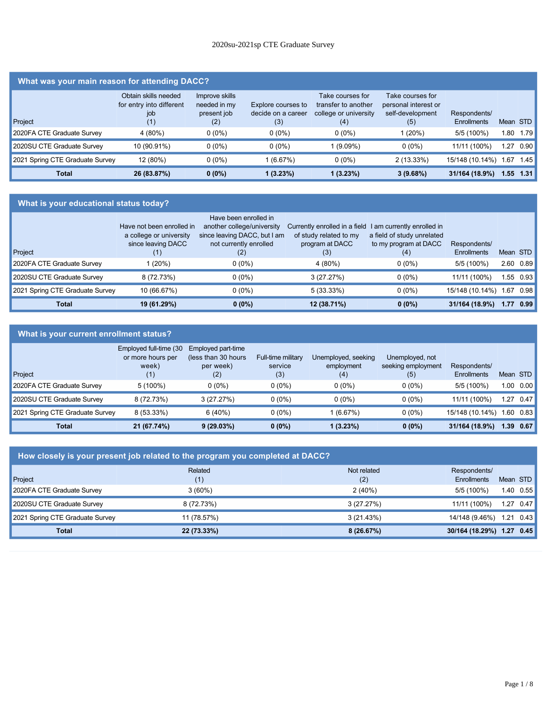#### 2020su-2021sp CTE Graduate Survey

#### **What was your main reason for attending DACC?**

| Project                         | Obtain skills needed<br>for entry into different<br>iob<br>(1) | Improve skills<br>needed in my<br>present job<br>(2) | Explore courses to<br>decide on a career<br>(3) | Take courses for<br>transfer to another<br>college or university<br>(4) | Take courses for<br>personal interest or<br>self-development<br>(5) | Respondents/<br>Enrollments |      | Mean STD |
|---------------------------------|----------------------------------------------------------------|------------------------------------------------------|-------------------------------------------------|-------------------------------------------------------------------------|---------------------------------------------------------------------|-----------------------------|------|----------|
| 2020FA CTE Graduate Survey      | 4 (80%)                                                        | $0(0\%)$                                             | $0(0\%)$                                        | $0(0\%)$                                                                | 1(20%)                                                              | 5/5 (100%)                  | .80  | 1.79     |
| 2020SU CTE Graduate Survey      | 10 (90.91%)                                                    | $0(0\%)$                                             | $0(0\%)$                                        | 1 (9.09%)                                                               | $0(0\%)$                                                            | 11/11 (100%)                | 27   | 0.90     |
| 2021 Spring CTE Graduate Survey | 12 (80%)                                                       | $0(0\%)$                                             | 1 (6.67%)                                       | $0(0\%)$                                                                | 2(13.33%)                                                           | 15/148 (10.14%)             | .67  | 1.45     |
| Total                           | 26 (83.87%)                                                    | $0(0\%)$                                             | 1(3.23%)                                        | 1 (3.23%)                                                               | $3(9.68\%)$                                                         | 31/164 (18.9%)              | 1.55 | 1.31     |

#### **What is your educational status today?**

| Project                         | Have not been enrolled in<br>a college or university<br>since leaving DACC<br>(1) | Have been enrolled in<br>another college/university<br>since leaving DACC, but I am<br>not currently enrolled<br>(2) | Currently enrolled in a field 1 am currently enrolled in<br>of study related to my<br>program at DACC<br>(3) | a field of study unrelated<br>to my program at DACC<br>(4) | Respondents/<br>Enrollments | Mean STD |           |
|---------------------------------|-----------------------------------------------------------------------------------|----------------------------------------------------------------------------------------------------------------------|--------------------------------------------------------------------------------------------------------------|------------------------------------------------------------|-----------------------------|----------|-----------|
| 2020FA CTE Graduate Survey      | 1 (20%)                                                                           | $0(0\%)$                                                                                                             | 4(80%)                                                                                                       | $0(0\%)$                                                   | 5/5 (100%)                  |          | 2.60 0.89 |
| 2020SU CTE Graduate Survey      | 8 (72.73%)                                                                        | $0(0\%)$                                                                                                             | 3(27.27%)                                                                                                    | $0(0\%)$                                                   | 11/11 (100%)                |          | 1.55 0.93 |
| 2021 Spring CTE Graduate Survey | 10 (66.67%)                                                                       | $0(0\%)$                                                                                                             | 5(33.33%)                                                                                                    | $0(0\%)$                                                   | 15/148 (10.14%)             |          | 1.67 0.98 |
| <b>Total</b>                    | 19 (61.29%)                                                                       | $0(0\%)$                                                                                                             | 12 (38.71%)                                                                                                  | $0(0\%)$                                                   | 31/164 (18.9%)              | 1.77     | 0.99      |

#### **What is your current enrollment status?** Project Employed full-time (30 Employed part-time or more hours per week) (1) (less than 30 hours per week) (2) Full-time military service (3) Unemployed, seeking employment (4) Unemployed, not seeking employment (5) Respondents/ Enrollments Mean STD 2020FA CTE Graduate Survey 5 (100%) 0 (0%) 0 (0%) 0 (0%) 0 (0%) 5/5 (100%) 1.00 0.00 2020SU CTE Graduate Survey 8 (72.73%) 3 (27.27%) 0 (0%) 0 (0%) 0 (0%) 11/11 (100%) 1.27 0.47 2021 Spring CTE Graduate Survey 8 (53.33%) 6 (40%) 0 (0%) 1 (6.67%) 0 (0%) 15/148 (10.14%) 1.60 0.83 **Total 21 (67.74%) 9 (29.03%) 0 (0%) 1 (3.23%) 0 (0%) 31/164 (18.9%) 1.39 0.67**

| How closely is your present job related to the program you completed at DACC? |                |                    |                                    |      |                   |  |  |
|-------------------------------------------------------------------------------|----------------|--------------------|------------------------------------|------|-------------------|--|--|
| Project                                                                       | Related<br>(1) | Not related<br>(2) | Respondents/<br><b>Enrollments</b> |      | Mean STD          |  |  |
| 2020FA CTE Graduate Survey                                                    | $3(60\%)$      | 2(40%)             | $5/5(100\%)$                       |      | $1.40 \quad 0.55$ |  |  |
| 2020SU CTE Graduate Survey                                                    | 8 (72.73%)     | 3(27.27%)          | 11/11 (100%)                       | 1.27 | 0.47              |  |  |
| 2021 Spring CTE Graduate Survey                                               | 11 (78.57%)    | 3(21.43%)          | 14/148 (9.46%)                     | 1.21 | 0.43              |  |  |
| <b>Total</b>                                                                  | 22 (73.33%)    | 8(26.67%)          | 30/164 (18.29%) 1.27               |      | 0.45              |  |  |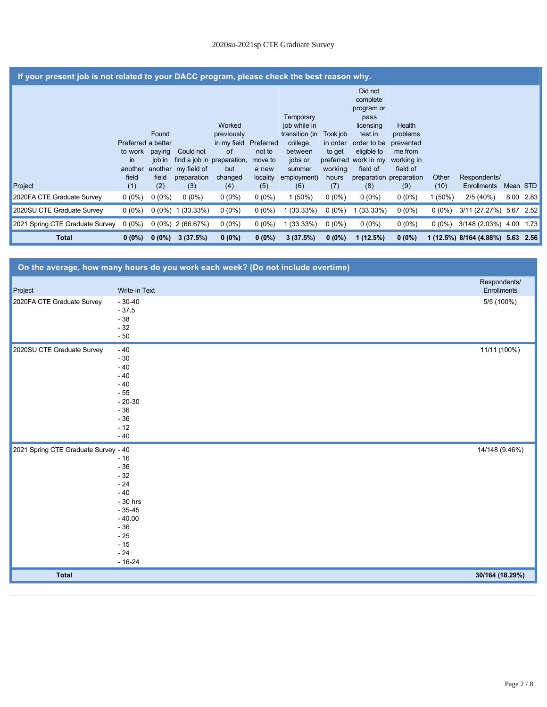|                                 | If your present job is not related to your DACC program, please check the best reason why. |                           |                                         |                                           |                                |                                                                               |                                             |                                                                                                               |                                                          |           |                              |          |      |
|---------------------------------|--------------------------------------------------------------------------------------------|---------------------------|-----------------------------------------|-------------------------------------------|--------------------------------|-------------------------------------------------------------------------------|---------------------------------------------|---------------------------------------------------------------------------------------------------------------|----------------------------------------------------------|-----------|------------------------------|----------|------|
|                                 | Preferred a better<br>to work<br>$\mathsf{in}$                                             | Found<br>paying<br>job in | Could not<br>find a job in preparation, | Worked<br>previously<br>in my field<br>of | Preferred<br>not to<br>move to | Temporary<br>job while in<br>transition (in<br>college,<br>between<br>jobs or | Took job<br>in order<br>to get<br>preferred | Did not<br>complete<br>program or<br>pass<br>licensing<br>test in<br>order to be<br>eligible to<br>work in my | Health<br>problems<br>prevented<br>me from<br>working in |           |                              |          |      |
|                                 | another<br>field                                                                           | another<br>field          | my field of<br>preparation              | but<br>changed                            | a new<br>locality              | summer<br>employment)                                                         | working<br>hours                            | field of                                                                                                      | field of<br>preparation preparation                      | Other     | Respondents/                 |          |      |
| Project                         | (1)                                                                                        | (2)                       | (3)                                     | (4)                                       | (5)                            | (6)                                                                           | (7)                                         | (8)                                                                                                           | (9)                                                      | (10)      | <b>Enrollments</b>           | Mean STD |      |
| 2020FA CTE Graduate Survey      | $0(0\%)$                                                                                   | $0(0\%)$                  | $0(0\%)$                                | $0(0\%)$                                  | $0(0\%)$                       | $1(50\%)$                                                                     | $0(0\%)$                                    | $0(0\%)$                                                                                                      | $0(0\%)$                                                 | $1(50\%)$ | 2/5(40%)                     | 8.00     | 2.83 |
| 2020SU CTE Graduate Survey      | $0(0\%)$                                                                                   |                           | $0(0\%)$ 1 (33.33%)                     | $0(0\%)$                                  | $0(0\%)$                       | 1 (33.33%)                                                                    | $0(0\%)$                                    | 1 (33.33%)                                                                                                    | $0(0\%)$                                                 | $0(0\%)$  | 3/11 (27.27%) 5.67           |          | 2.52 |
| 2021 Spring CTE Graduate Survey | $0(0\%)$                                                                                   |                           | $0(0\%)$ 2 (66.67%)                     | $0(0\%)$                                  | $0(0\%)$                       | (33.33%)                                                                      | $0(0\%)$                                    | $0(0\%)$                                                                                                      | $0(0\%)$                                                 | $0(0\%)$  | 3/148 (2.03%) 4.00           |          | 1.73 |
| <b>Total</b>                    | $0(0\%)$                                                                                   | $0(0\%)$                  | 3(37.5%)                                | $0(0\%)$                                  | $0(0\%)$                       | 3(37.5%)                                                                      | $0(0\%)$                                    | 1(12.5%)                                                                                                      | $0(0\%)$                                                 |           | 1 (12.5%) 8/164 (4.88%) 5.63 |          | 2.56 |

|                                      | On the average, how many hours do you work each week? (Do not include overtime) |                 |
|--------------------------------------|---------------------------------------------------------------------------------|-----------------|
|                                      |                                                                                 | Respondents/    |
| Project                              | Write-in Text                                                                   | Enrollments     |
| 2020FA CTE Graduate Survey           | $-30-40$                                                                        | 5/5 (100%)      |
|                                      | $-37.5$                                                                         |                 |
|                                      | $-38$                                                                           |                 |
|                                      | $-32$<br>$-50$                                                                  |                 |
|                                      |                                                                                 |                 |
| 2020SU CTE Graduate Survey           | $-40$                                                                           | 11/11 (100%)    |
|                                      | $-30$                                                                           |                 |
|                                      | $-40$                                                                           |                 |
|                                      | $-40$                                                                           |                 |
|                                      | $-40$                                                                           |                 |
|                                      | $-55$<br>$-20-30$                                                               |                 |
|                                      | $-36$                                                                           |                 |
|                                      | $-36$                                                                           |                 |
|                                      | $-12$                                                                           |                 |
|                                      | $-40$                                                                           |                 |
| 2021 Spring CTE Graduate Survey - 40 |                                                                                 | 14/148 (9.46%)  |
|                                      | $-16$                                                                           |                 |
|                                      | $-36$                                                                           |                 |
|                                      | $-32$                                                                           |                 |
|                                      | $-24$                                                                           |                 |
|                                      | $-40$                                                                           |                 |
|                                      | - 30 hrs                                                                        |                 |
|                                      | $-35-45$                                                                        |                 |
|                                      | $-40.00$                                                                        |                 |
|                                      | $-36$                                                                           |                 |
|                                      | $-25$<br>$-15$                                                                  |                 |
|                                      | $-24$                                                                           |                 |
|                                      | $-16-24$                                                                        |                 |
| <b>Total</b>                         |                                                                                 | 30/164 (18.29%) |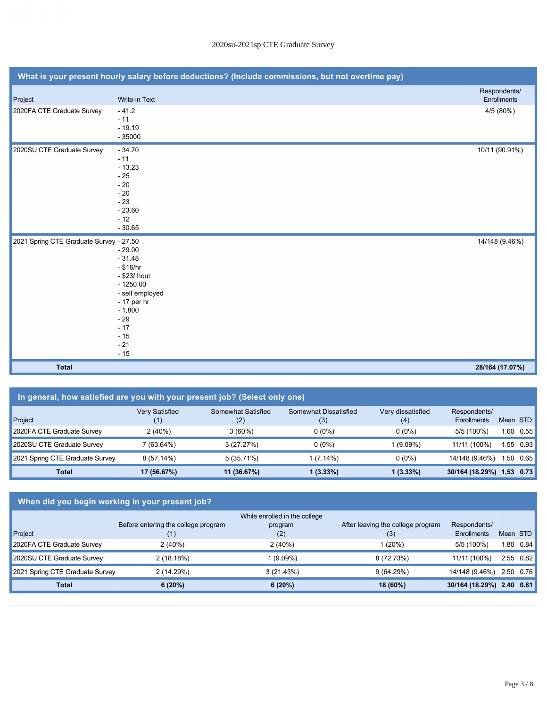| What is your present hourly salary before deductions? (Include commissions, but not overtime pay) |                                                                                                                                                              |                                    |  |  |  |  |  |
|---------------------------------------------------------------------------------------------------|--------------------------------------------------------------------------------------------------------------------------------------------------------------|------------------------------------|--|--|--|--|--|
| Project                                                                                           | Write-in Text                                                                                                                                                | Respondents/<br><b>Enrollments</b> |  |  |  |  |  |
| 2020FA CTE Graduate Survey                                                                        | $-41.2$<br>$-11$<br>$-19.19$<br>$-35000$                                                                                                                     | 4/5 (80%)                          |  |  |  |  |  |
| 2020SU CTE Graduate Survey                                                                        | $-34.70$<br>$-11$<br>$-13.23$<br>$-25$<br>$-20$<br>$-20$<br>$-23$<br>$-23.60$<br>$-12$<br>$-30.65$                                                           | 10/11 (90.91%)                     |  |  |  |  |  |
| 2021 Spring CTE Graduate Survey - 27.50                                                           | $-29.00$<br>$-31.48$<br>$-$ \$16/hr<br>- \$23/ hour<br>$-1250.00$<br>- self employed<br>- 17 per hr<br>$-1,800$<br>$-29$<br>$-17$<br>$-15$<br>$-21$<br>$-15$ | 14/148 (9.46%)                     |  |  |  |  |  |
| <b>Total</b>                                                                                      |                                                                                                                                                              | 28/164 (17.07%)                    |  |  |  |  |  |

| In general, how satisfied are you with your present job? (Select only one) |                              |                           |                              |                          |                                    |          |           |  |
|----------------------------------------------------------------------------|------------------------------|---------------------------|------------------------------|--------------------------|------------------------------------|----------|-----------|--|
| Project                                                                    | <b>Very Satisfied</b><br>(1) | Somewhat Satisfied<br>(2) | Somewhat Dissatisfied<br>(3) | Very dissatisfied<br>(4) | Respondents/<br><b>Enrollments</b> | Mean STD |           |  |
| 2020FA CTE Graduate Survey                                                 | 2(40%)                       | $3(60\%)$                 | $0(0\%)$                     | $0(0\%)$                 | 5/5 (100%)                         | ∣.60     | 0.55      |  |
| 2020SU CTE Graduate Survey                                                 | 7 (63.64%)                   | 3(27.27%)                 | $0(0\%)$                     | 1 (9.09%)                | 11/11 (100%)                       |          | 1.55 0.93 |  |
| 2021 Spring CTE Graduate Survey                                            | 8(57.14%)                    | 5(35.71%)                 | $1(7.14\%)$                  | $0(0\%)$                 | 14/148 (9.46%)                     |          | 1.50 0.65 |  |
| <b>Total</b>                                                               | 17 (56.67%)                  | 11 (36.67%)               | 1 (3.33%)                    | $1(3.33\%)$              | 30/164 (18.29%)                    | 1.53     | 0.73      |  |

# **When did you begin working in your present job?**

|                                 |                                     | While enrolled in the college |                                   |                           |                   |
|---------------------------------|-------------------------------------|-------------------------------|-----------------------------------|---------------------------|-------------------|
|                                 | Before entering the college program | program                       | After leaving the college program | Respondents/              |                   |
| Project                         |                                     | (2)                           | (3)                               | Enrollments               | Mean STD          |
| 2020FA CTE Graduate Survey      | 2(40%)                              | 2(40%)                        | 1 (20%)                           | $5/5(100\%)$              | $1.80 \quad 0.84$ |
| 2020SU CTE Graduate Survey      | 2(18.18%)                           | 1 (9.09%)                     | 8 (72.73%)                        | 11/11 (100%)              | $2.55 \quad 0.82$ |
| 2021 Spring CTE Graduate Survey | 2(14.29%)                           | 3(21.43%)                     | 9(64.29%)                         | 14/148 (9.46%)            | $2.50 \quad 0.76$ |
| <b>Total</b>                    | 6(20%)                              | 6(20%)                        | 18 (60%)                          | 30/164 (18.29%) 2.40 0.81 |                   |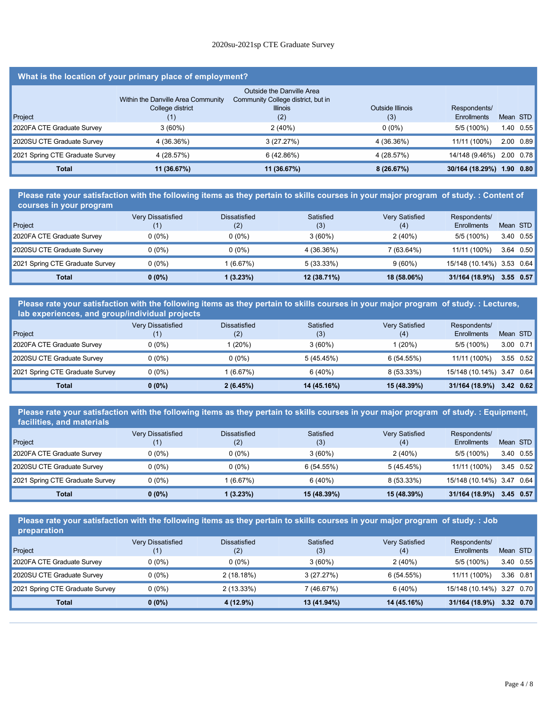## **Total 6 (20%) 6 (20%) 18 (60%) 30/164 (18.29%) 2.40 0.81** 2020su-2021sp CTE Graduate Survey

# **What is the location of your primary place of employment?**

|                                 |                                                        | Outside the Danville Area                             |                  |                 |          |                   |
|---------------------------------|--------------------------------------------------------|-------------------------------------------------------|------------------|-----------------|----------|-------------------|
|                                 | Within the Danville Area Community<br>College district | Community College district, but in<br><b>Illinois</b> | Outside Illinois | Respondents/    |          |                   |
| Project                         | (1)                                                    | (2)                                                   | (3)              | Enrollments     | Mean STD |                   |
| 2020FA CTE Graduate Survey      | $3(60\%)$                                              | 2(40%)                                                | $0(0\%)$         | 5/5 (100%)      |          | $1.40$ 0.55       |
| 2020SU CTE Graduate Survey      | 4 (36.36%)                                             | 3(27.27%)                                             | 4 (36.36%)       | 11/11 (100%)    |          | $2.00 \quad 0.89$ |
| 2021 Spring CTE Graduate Survey | 4 (28.57%)                                             | 6(42.86%)                                             | 4 (28.57%)       | 14/148 (9.46%)  |          | 2.00 0.78         |
| <b>Total</b>                    | 11 (36.67%)                                            | 11 (36.67%)                                           | 8(26.67%)        | 30/164 (18.29%) | 1.90     | 0.80              |

**Please rate your satisfaction with the following items as they pertain to skills courses in your major program of study. : Content of courses in your program**

| المتعاطف والمار والمتكافئات والمتعاطف والمتعاط المتعاط الاستعمال والمتعاطف والمتعارض |                   |                            |                  |                              |                             |           |           |
|--------------------------------------------------------------------------------------|-------------------|----------------------------|------------------|------------------------------|-----------------------------|-----------|-----------|
| Project                                                                              | Very Dissatisfied | <b>Dissatisfied</b><br>(2) | Satisfied<br>(3) | <b>Very Satisfied</b><br>(4) | Respondents/<br>Enrollments | Mean STD  |           |
| 2020FA CTE Graduate Survey                                                           | $0(0\%)$          | $0(0\%)$                   | $3(60\%)$        | 2(40%)                       | 5/5 (100%)                  |           | 3.40 0.55 |
| 2020SU CTE Graduate Survey                                                           | $0(0\%)$          | $0(0\%)$                   | 4 (36.36%)       | 7 (63.64%)                   | 11/11 (100%)                |           | 3.64 0.50 |
| 2021 Spring CTE Graduate Survey                                                      | $0(0\%)$          | 1 (6.67%)                  | $5(33.33\%)$     | $9(60\%)$                    | 15/148 (10.14%) 3.53 0.64   |           |           |
| Total                                                                                | $0(0\%)$          | $(3.23\%)$                 | 12 (38.71%)      | 18 (58.06%)                  | 31/164 (18.9%)              | 3.55 0.57 |           |

**Please rate your satisfaction with the following items as they pertain to skills courses in your major program of study. : Lectures, lab experiences, and group/individual projects**

| Project                         | <b>Very Dissatisfied</b> | <b>Dissatisfied</b><br>(2) | Satisfied<br>(3) | <b>Very Satisfied</b><br>(4) | Respondents/<br>Enrollments |      | Mean STD          |
|---------------------------------|--------------------------|----------------------------|------------------|------------------------------|-----------------------------|------|-------------------|
| 2020FA CTE Graduate Survey      | $0(0\%)$                 | (20%)                      | $3(60\%)$        | (20%)                        | 5/5 (100%)                  |      | $3.00 \quad 0.71$ |
| 2020SU CTE Graduate Survey      | $0(0\%)$                 | $0(0\%)$                   | 5(45.45%)        | 6(54.55%)                    | 11/11 (100%)                |      | $3.55$ $0.52$     |
| 2021 Spring CTE Graduate Survey | $0(0\%)$                 | (6.67%)                    | 6(40%)           | $8(53.33\%)$                 | 15/148 (10.14%) 3.47        |      | 0.64              |
| <b>Total</b>                    | $0(0\%)$                 | 2(6.45%)                   | 14 (45.16%)      | 15 (48.39%)                  | 31/164 (18.9%)              | 3.42 | 0.62              |

#### **Please rate your satisfaction with the following items as they pertain to skills courses in your major program of study. : Equipment, facilities, and materials**

| <b>HOMES</b> , and materiale    |                          |              |             |                       |                 |          |                   |
|---------------------------------|--------------------------|--------------|-------------|-----------------------|-----------------|----------|-------------------|
|                                 | <b>Very Dissatisfied</b> | Dissatisfied | Satisfied   | <b>Very Satisfied</b> | Respondents/    |          |                   |
| Project                         |                          | (2)          | (3)         | (4)                   | Enrollments     | Mean STD |                   |
| 2020FA CTE Graduate Survey      | $0(0\%)$                 | $0(0\%)$     | $3(60\%)$   | 2(40%)                | 5/5 (100%)      | 3.40     | 0.55              |
| 2020SU CTE Graduate Survey      | $0(0\%)$                 | $0(0\%)$     | 6(54.55%)   | 5(45.45%)             | 11/11 (100%)    |          | $3.45 \quad 0.52$ |
| 2021 Spring CTE Graduate Survey | $0(0\%)$                 | (6.67%)      | 6(40%)      | 8 (53.33%)            | 15/148 (10.14%) | 3.47     | 0.64              |
| <b>Total</b>                    | $0(0\%)$                 | 1 (3.23%)    | 15 (48.39%) | 15 (48.39%)           | 31/164 (18.9%)  |          | $3.45$ 0.57       |

**Please rate your satisfaction with the following items as they pertain to skills courses in your major program of study. : Job preparation**

| Project<br>2020FA CTE Graduate Survey | <b>Very Dissatisfied</b><br>(1)<br>$0(0\%)$ | <b>Dissatisfied</b><br>(2)<br>$0(0\%)$ | Satisfied<br>(3)<br>$3(60\%)$ | <b>Very Satisfied</b><br>(4)<br>2(40%) | Respondents/<br>Enrollments<br>5/5 (100%) | Mean STD<br>3.40 | 0.55          |
|---------------------------------------|---------------------------------------------|----------------------------------------|-------------------------------|----------------------------------------|-------------------------------------------|------------------|---------------|
| 2020SU CTE Graduate Survey            | 0 (0%)                                      | 2(18.18%)                              | 3(27.27%)                     | 6(54.55%)                              | 11/11 (100%)                              |                  | $3.36$ $0.81$ |
| 2021 Spring CTE Graduate Survey       | $0(0\%)$                                    | $2(13.33\%)$                           | 7 (46.67%)                    | 6(40%)                                 | 15/148 (10.14%) 3.27 0.70                 |                  |               |
| <b>Total</b>                          | $0(0\%)$                                    | 4 (12.9%)                              | 13 (41.94%)                   | 14 (45.16%)                            | 31/164 (18.9%)                            |                  | $3.32$ 0.70   |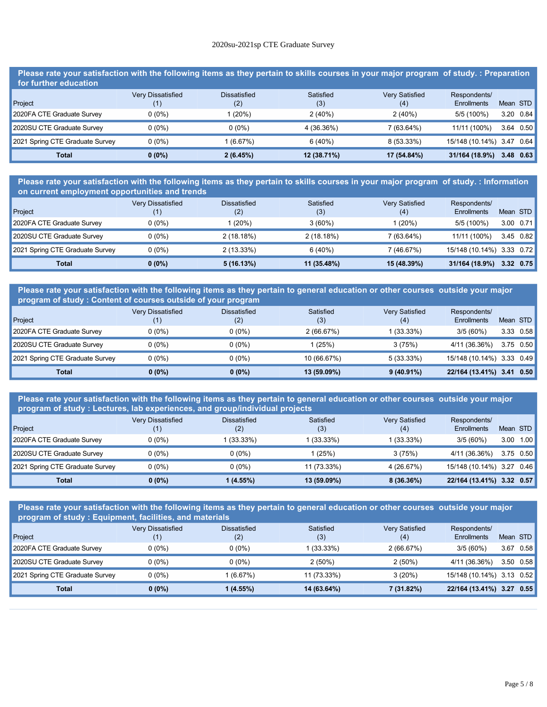# **Total 0 (0%) 4 (12.9%) 13 (41.94%) 14 (45.16%) 31/164 (18.9%) 3.32 0.70** 2020su-2021sp CTE Graduate Survey

**Please rate your satisfaction with the following items as they pertain to skills courses in your major program of study. : Preparation for further education** Very Dissatisfied Dissatisfied Satisfied Very Satisfied Respondents/

| Project                         |          | (2)      | (3)         | (4)          | Enrollments               | Mean STD |                   |
|---------------------------------|----------|----------|-------------|--------------|---------------------------|----------|-------------------|
| 2020FA CTE Graduate Survey      | $0(0\%)$ | 1 (20%)  | 2(40%)      | 2(40%)       | 5/5 (100%)                |          | $3.20 \quad 0.84$ |
| 2020SU CTE Graduate Survey      | $0(0\%)$ | $0(0\%)$ | 4 (36.36%)  | 7 (63.64%)   | 11/11 (100%)              |          | $3.64$ 0.50       |
| 2021 Spring CTE Graduate Survey | $0(0\%)$ | (6.67%)  | 6(40%)      | $8(53.33\%)$ | 15/148 (10.14%) 3.47 0.64 |          |                   |
| Total                           | $0(0\%)$ | 2(6.45%) | 12 (38.71%) | 17 (54.84%)  | 31/164 (18.9%)            |          | $3.48$ 0.63       |

**Please rate your satisfaction with the following items as they pertain to skills courses in your major program of study. : Information on current employment opportunities and trends**

| Project                         | <b>Very Dissatisfied</b> | <b>Dissatisfied</b><br>(2) | Satisfied<br>(3) | <b>Very Satisfied</b><br>(4) | Respondents/<br>Enrollments | Mean STD  |           |
|---------------------------------|--------------------------|----------------------------|------------------|------------------------------|-----------------------------|-----------|-----------|
| 2020FA CTE Graduate Survey      | $0(0\%)$                 | 1 (20%)                    | $3(60\%)$        | 1 (20%)                      | 5/5 (100%)                  |           | 3.00 0.71 |
| 2020SU CTE Graduate Survey      | $0(0\%)$                 | 2(18.18%)                  | 2(18.18%)        | 7(63.64%)                    | 11/11 (100%)                |           | 3.45 0.82 |
| 2021 Spring CTE Graduate Survey | $0(0\%)$                 | $2(13.33\%)$               | 6(40%)           | 7(46.67%)                    | 15/148 (10.14%) 3.33 0.72   |           |           |
| <b>Total</b>                    | $0(0\%)$                 | 5(16.13%)                  | 11 (35.48%)      | 15 (48.39%)                  | 31/164 (18.9%)              | 3.32 0.75 |           |

**Please rate your satisfaction with the following items as they pertain to general education or other courses outside your major program of study : Content of courses outside of your program**

|                                 | <b>Very Dissatisfied</b> | <b>Dissatisfied</b> | Satisfied   | <b>Very Satisfied</b> | Respondents/              |                   |
|---------------------------------|--------------------------|---------------------|-------------|-----------------------|---------------------------|-------------------|
| Project                         |                          | (2)                 | (3)         | (4)                   | Enrollments               | Mean STD          |
| 2020FA CTE Graduate Survey      | $0(0\%)$                 | $0(0\%)$            | 2(66.67%)   | $1(33.33\%)$          | $3/5(60\%)$               | $3.33 \quad 0.58$ |
| 2020SU CTE Graduate Survey      | $0(0\%)$                 | $0(0\%)$            | 1 (25%)     | 3(75%)                | 4/11 (36.36%)             | $3.75$ 0.50       |
| 2021 Spring CTE Graduate Survey | $0(0\%)$                 | $0(0\%)$            | 10 (66.67%) | $5(33.33\%)$          | 15/148 (10.14%) 3.33 0.49 |                   |
| <b>Total</b>                    | $0(0\%)$                 | $0(0\%)$            | 13 (59.09%) | $9(40.91\%)$          | 22/164 (13.41%) 3.41 0.50 |                   |

**Please rate your satisfaction with the following items as they pertain to general education or other courses outside your major program of study : Lectures, lab experiences, and group/individual projects**

|                                 | Very Dissatisfied | <b>Dissatisfied</b> | Satisfied   | <b>Very Satisfied</b> | Respondents/              |          |           |
|---------------------------------|-------------------|---------------------|-------------|-----------------------|---------------------------|----------|-----------|
| Project                         |                   | (2)                 | (3)         | (4)                   | Enrollments               | Mean STD |           |
| 2020FA CTE Graduate Survey      | $0(0\%)$          | (33.33%)            | (33.33%)    | $1(33.33\%)$          | $3/5(60\%)$               | 3.00     | 1.00      |
| 2020SU CTE Graduate Survey      | $0(0\%)$          | $0(0\%)$            | (25%)       | 3(75%)                | 4/11 (36.36%)             |          | 3.75 0.50 |
| 2021 Spring CTE Graduate Survey | $0(0\%)$          | $0(0\%)$            | 11 (73.33%) | 4 (26.67%)            | 15/148 (10.14%) 3.27 0.46 |          |           |
| <b>Total</b>                    | $0(0\%)$          | 1(4.55%)            | 13 (59.09%) | 8(36.36%)             | 22/164 (13.41%) 3.32 0.57 |          |           |

**Please rate your satisfaction with the following items as they pertain to general education or other courses outside your major program of study : Equipment, facilities, and materials**

| Project                         | <b>Very Dissatisfied</b><br>(1) | <b>Dissatisfied</b><br>(2) | Satisfied<br>(3) | Very Satisfied<br>(4) | Respondents/<br>Enrollments |      | Mean STD          |
|---------------------------------|---------------------------------|----------------------------|------------------|-----------------------|-----------------------------|------|-------------------|
| 2020FA CTE Graduate Survey      | 0 (0%)                          | $0(0\%)$                   | 1 (33.33%)       | 2(66.67%)             | $3/5(60\%)$                 | 3.67 | 0.58              |
| 2020SU CTE Graduate Survey      | 0 (0%)                          | $0(0\%)$                   | $2(50\%)$        | 2(50%)                | 4/11 (36.36%)               |      | $3.50 \quad 0.58$ |
| 2021 Spring CTE Graduate Survey | 0 (0%)                          | (6.67%)                    | 11 (73.33%)      | 3(20%)                | 15/148 (10.14%) 3.13 0.52   |      |                   |
| <b>Total</b>                    | $0(0\%)$                        | $1(4.55\%)$                | 14 (63.64%)      | 7 (31.82%)            | 22/164 (13.41%) 3.27 0.55   |      |                   |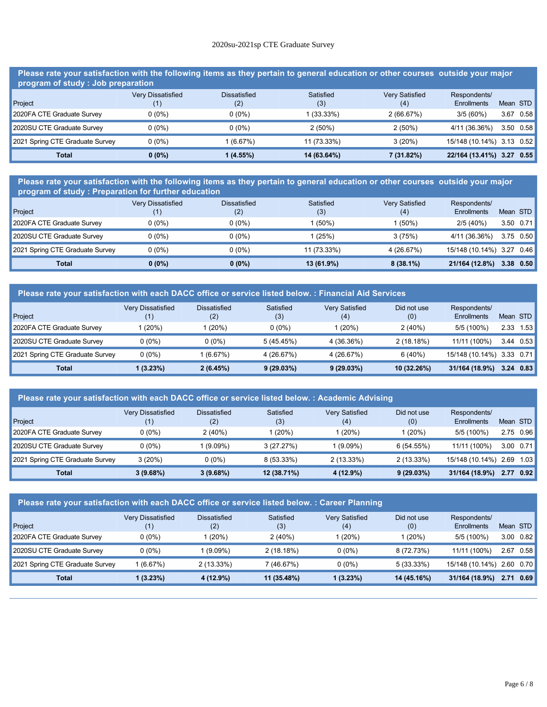# **Total 0 (0%) 1 (4.55%) 14 (63.64%) 7 (31.82%) 22/164 (13.41%) 3.27 0.55** 2020su-2021sp CTE Graduate Survey

**Please rate your satisfaction with the following items as they pertain to general education or other courses outside your major program of study : Job preparation** Very Dissatisfied **Dissatisfied** Satisfied Very Satisfied Respondents/

| Project                         |          | (2)        | (3)         | (4)        | Enrollments               | Mean STD |                   |
|---------------------------------|----------|------------|-------------|------------|---------------------------|----------|-------------------|
| 2020FA CTE Graduate Survey      | 0 (0%)   | 0 (0%)     | $(33.33\%)$ | 2(66.67%)  | $3/5(60\%)$               | 3.67     | 0.58              |
| 2020SU CTE Graduate Survey      | 0 (0%)   | 0 (0%)     | 2(50%)      | $2(50\%)$  | 4/11 (36.36%)             |          | $3.50 \quad 0.58$ |
| 2021 Spring CTE Graduate Survey | 0 (0%)   | $(6.67\%)$ | 11 (73.33%) | 3(20%)     | 15/148 (10.14%) 3.13 0.52 |          |                   |
| Total                           | $0(0\%)$ | 1 (4.55%)  | 14 (63.64%) | 7 (31.82%) | 22/164 (13.41%) 3.27 0.55 |          |                   |

**Please rate your satisfaction with the following items as they pertain to general education or other courses outside your major program of study : Preparation for further education**

| Project                         | Very Dissatisfied | <b>Dissatisfied</b><br>(2) | Satisfied<br>(3) | <b>Very Satisfied</b><br>(4) | Respondents/<br>Enrollments | Mean STD  |  |
|---------------------------------|-------------------|----------------------------|------------------|------------------------------|-----------------------------|-----------|--|
| 2020FA CTE Graduate Survey      | $0(0\%)$          | $0(0\%)$                   | (50%)            | 1 (50%)                      | $2/5(40\%)$                 | 3.50 0.71 |  |
| 2020SU CTE Graduate Survey      | $0(0\%)$          | $0(0\%)$                   | (25%)            | 3(75%)                       | 4/11 (36.36%)               | 3.75 0.50 |  |
| 2021 Spring CTE Graduate Survey | $0(0\%)$          | $0(0\%)$                   | 11 (73.33%)      | 4 (26.67%)                   | 15/148 (10.14%) 3.27 0.46   |           |  |
| <b>Total</b>                    | $0(0\%)$          | $0(0\%)$                   | 13 (61.9%)       | $8(38.1\%)$                  | 21/164 (12.8%)              | 3.38 0.50 |  |

| Please rate your satisfaction with each DACC office or service listed below. : Financial Aid Services |                                 |                     |                  |                              |                    |                                    |          |      |
|-------------------------------------------------------------------------------------------------------|---------------------------------|---------------------|------------------|------------------------------|--------------------|------------------------------------|----------|------|
| Project                                                                                               | <b>Very Dissatisfied</b><br>(1) | Dissatisfied<br>(2) | Satisfied<br>(3) | <b>Very Satisfied</b><br>(4) | Did not use<br>(0) | Respondents/<br><b>Enrollments</b> | Mean STD |      |
| 2020FA CTE Graduate Survey                                                                            | (20%)                           | (20%)               | $0(0\%)$         | l (20%)                      | 2(40%)             | $5/5(100\%)$                       | 2.33     | 1.53 |
| 2020SU CTE Graduate Survey                                                                            | $0(0\%)$                        | $0(0\%)$            | 5(45.45%)        | 4 (36.36%)                   | 2(18.18%)          | 11/11 (100%)                       | 3.44     | 0.53 |
| 2021 Spring CTE Graduate Survey                                                                       | $0(0\%)$                        | 1(6.67%)            | 4 (26.67%)       | 4 (26.67%)                   | 6(40%)             | 15/148 (10.14%) 3.33 0.71          |          |      |
| <b>Total</b>                                                                                          | 1 (3.23%)                       | 2(6.45%)            | 9(29.03%)        | 9(29.03%)                    | 10 (32.26%)        | 31/164 (18.9%)                     | 3.24     | 0.83 |

| Please rate your satisfaction with each DACC office or service listed below.: Academic Advising |                   |                            |                  |                              |                    |                                    |          |                   |
|-------------------------------------------------------------------------------------------------|-------------------|----------------------------|------------------|------------------------------|--------------------|------------------------------------|----------|-------------------|
| Project                                                                                         | Very Dissatisfied | <b>Dissatisfied</b><br>(2) | Satisfied<br>(3) | <b>Very Satisfied</b><br>(4) | Did not use<br>(0) | Respondents/<br><b>Enrollments</b> | Mean STD |                   |
| 2020FA CTE Graduate Survey                                                                      | $0(0\%)$          | 2(40%)                     | 1(20%)           | l (20%)                      | 1 (20%)            | 5/5 (100%)                         |          | 2.75 0.96         |
| 2020SU CTE Graduate Survey                                                                      | $0(0\%)$          | 1 (9.09%)                  | 3(27.27%)        | $1(9.09\%)$                  | 6(54.55%)          | 11/11 (100%)                       |          | $3.00 \quad 0.71$ |
| 2021 Spring CTE Graduate Survey                                                                 | 3(20%)            | $0(0\%)$                   | 8 (53.33%)       | $2(13.33\%)$                 | 2(13.33%)          | 15/148 (10.14%)                    | 2.69     | 1.03              |
| <b>Total</b>                                                                                    | $3(9.68\%)$       | $3(9.68\%)$                | 12 (38.71%)      | 4 (12.9%)                    | 9(29.03%)          | 31/164 (18.9%)                     | 2.77     | 0.92              |

| Please rate your satisfaction with each DACC office or service listed below. : Career Planning |                                 |                            |                  |                              |                    |                                    |          |      |
|------------------------------------------------------------------------------------------------|---------------------------------|----------------------------|------------------|------------------------------|--------------------|------------------------------------|----------|------|
| Project                                                                                        | <b>Very Dissatisfied</b><br>(1) | <b>Dissatisfied</b><br>(2) | Satisfied<br>(3) | <b>Very Satisfied</b><br>(4) | Did not use<br>(0) | Respondents/<br><b>Enrollments</b> | Mean STD |      |
| 2020FA CTE Graduate Survey                                                                     | $0(0\%)$                        | 1(20%)                     | 2(40%)           | 1 (20%)                      | 1 (20%)            | 5/5 (100%)                         | 3.00     | 0.82 |
| 2020SU CTE Graduate Survey                                                                     | $0(0\%)$                        | 1 (9.09%)                  | 2(18.18%)        | $0(0\%)$                     | 8 (72.73%)         | 11/11 (100%)                       | 2.67     | 0.58 |
| 2021 Spring CTE Graduate Survey                                                                | 1 (6.67%)                       | $2(13.33\%)$               | 7 (46.67%)       | $0(0\%)$                     | 5(33.33%)          | 15/148 (10.14%) 2.60 0.70          |          |      |
| <b>Total</b>                                                                                   | 1(3.23%)                        | 4 (12.9%)                  | 11 (35.48%)      | 1 (3.23%)                    | 14 (45.16%)        | 31/164 (18.9%)                     | 2.71     | 0.69 |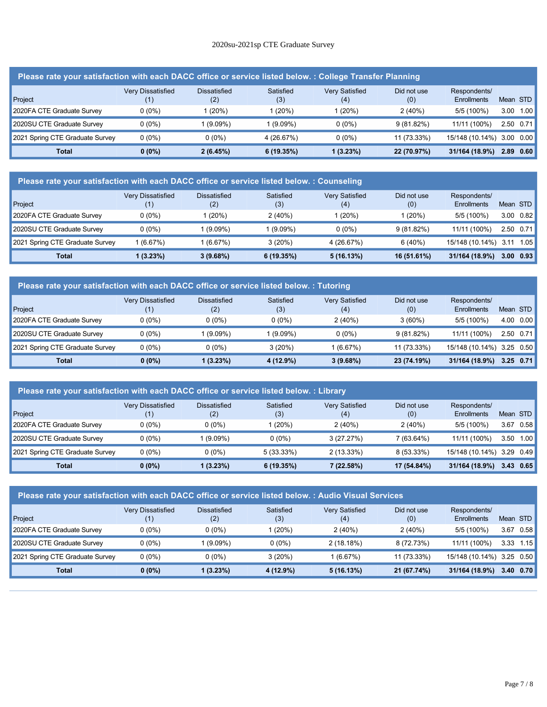# **Total 1 (3.23%) 4 (12.9%) 11 (35.48%) 1 (3.23%) 14 (45.16%) 31/164 (18.9%) 2.71 0.69** 2020su-2021sp CTE Graduate Survey

| Please rate your satisfaction with each DACC office or service listed below. : College Transfer Planning |                                 |                            |                  |                              |                    |                                    |      |                   |
|----------------------------------------------------------------------------------------------------------|---------------------------------|----------------------------|------------------|------------------------------|--------------------|------------------------------------|------|-------------------|
| Project                                                                                                  | <b>Very Dissatisfied</b><br>(1) | <b>Dissatisfied</b><br>(2) | Satisfied<br>(3) | <b>Very Satisfied</b><br>(4) | Did not use<br>(0) | Respondents/<br><b>Enrollments</b> |      | Mean STD          |
| 2020FA CTE Graduate Survey                                                                               | $0(0\%)$                        | 1 (20%)                    | 1 (20%)          | (20%)                        | 2(40%)             | $5/5(100\%)$                       | 3.00 | 1.00              |
| 2020SU CTE Graduate Survey                                                                               | $0(0\%)$                        | $1(9.09\%)$                | 1 (9.09%)        | $0(0\%)$                     | $9(81.82\%)$       | 11/11 (100%)                       |      | $2.50 \quad 0.71$ |
| 2021 Spring CTE Graduate Survey                                                                          | $0(0\%)$                        | $0(0\%)$                   | 4 (26.67%)       | $0(0\%)$                     | 11 (73.33%)        | 15/148 (10.14%)                    |      | $3.00 \quad 0.00$ |
| <b>Total</b>                                                                                             | $0(0\%)$                        | 2(6.45%)                   | 6(19.35%)        | 1(3.23%)                     | 22 (70.97%)        | 31/164 (18.9%)                     | 2.89 | 0.60              |

| Please rate your satisfaction with each DACC office or service listed below. : Counseling |                   |                     |                  |                              |                    |                             |          |           |
|-------------------------------------------------------------------------------------------|-------------------|---------------------|------------------|------------------------------|--------------------|-----------------------------|----------|-----------|
| Project                                                                                   | Very Dissatisfied | Dissatisfied<br>(2) | Satisfied<br>(3) | <b>Very Satisfied</b><br>(4) | Did not use<br>(0) | Respondents/<br>Enrollments | Mean STD |           |
| 2020FA CTE Graduate Survey                                                                | $0(0\%)$          | (20%)               | 2(40%)           | (20%)                        | (20%)              | 5/5 (100%)                  | 3.00     | 0.82      |
| 2020SU CTE Graduate Survey                                                                | $0(0\%)$          | $(9.09\%)$          | $1(9.09\%)$      | $0(0\%)$                     | 9(81.82%)          | 11/11 (100%)                |          | 2.50 0.71 |
| 2021 Spring CTE Graduate Survey                                                           | 1 (6.67%)         | (6.67%)             | 3(20%)           | 4 (26.67%)                   | 6(40%)             | 15/148 (10.14%)             | 3.11     | 1.05      |
| <b>Total</b>                                                                              | 1 (3.23%)         | $3(9.68\%)$         | 6(19.35%)        | 5(16.13%)                    | 16 (51.61%)        | 31/164 (18.9%)              | 3.00     | 0.93      |

| Please rate your satisfaction with each DACC office or service listed below. : Tutoring |                                               |                     |                  |                              |                    |                             |      |                   |
|-----------------------------------------------------------------------------------------|-----------------------------------------------|---------------------|------------------|------------------------------|--------------------|-----------------------------|------|-------------------|
| Project                                                                                 | <b>Very Dissatisfied</b><br>$\left( 1\right)$ | Dissatisfied<br>(2) | Satisfied<br>(3) | <b>Very Satisfied</b><br>(4) | Did not use<br>(0) | Respondents/<br>Enrollments |      | Mean STD          |
| 2020FA CTE Graduate Survey                                                              | $0(0\%)$                                      | $0(0\%)$            | $0(0\%)$         | 2(40%)                       | $3(60\%)$          | $5/5(100\%)$                | 4.00 | 0.00              |
| 2020SU CTE Graduate Survey                                                              | $0(0\%)$                                      | $(9.09\%)$          | 1 (9.09%)        | $0(0\%)$                     | 9(81.82%)          | 11/11 (100%)                |      | $2.50 \quad 0.71$ |
| 2021 Spring CTE Graduate Survey                                                         | $0(0\%)$                                      | $0(0\%)$            | 3(20%)           | 1 (6.67%)                    | 11 (73.33%)        | 15/148 (10.14%)             |      | $3.25 \quad 0.50$ |
| <b>Total</b>                                                                            | $0(0\%)$                                      | $1(3.23\%)$         | 4 (12.9%)        | $3(9.68\%)$                  | 23 (74.19%)        | 31/164 (18.9%)              |      | $3.25$ 0.71       |

| Please rate your satisfaction with each DACC office or service listed below. : Library |                                 |                     |                  |                              |                    |                                    |          |      |
|----------------------------------------------------------------------------------------|---------------------------------|---------------------|------------------|------------------------------|--------------------|------------------------------------|----------|------|
| Project                                                                                | <b>Very Dissatisfied</b><br>(1) | Dissatisfied<br>(2) | Satisfied<br>(3) | <b>Very Satisfied</b><br>(4) | Did not use<br>(0) | Respondents/<br><b>Enrollments</b> | Mean STD |      |
| 2020FA CTE Graduate Survey                                                             | $0(0\%)$                        | $0(0\%)$            | 1(20%)           | 2(40%)                       | 2(40%)             | 5/5 (100%)                         | 3.67     | 0.58 |
| 2020SU CTE Graduate Survey                                                             | $0(0\%)$                        | $(9.09\%)$          | $0(0\%)$         | 3(27.27%)                    | 7(63.64%)          | 11/11 (100%)                       | 3.50     | 1.00 |
| 2021 Spring CTE Graduate Survey                                                        | $0(0\%)$                        | $0(0\%)$            | $5(33.33\%)$     | $2(13.33\%)$                 | $8(53.33\%)$       | 15/148 (10.14%) 3.29 0.49          |          |      |
| Total                                                                                  | $0(0\%)$                        | $(3.23\%)$          | 6(19.35%)        | 7 (22.58%)                   | 17 (54.84%)        | 31/164 (18.9%)                     | 3.43     | 0.65 |

| Please rate your satisfaction with each DACC office or service listed below. : Audio Visual Services |                                 |                            |                  |                              |                    |                                    |                   |      |
|------------------------------------------------------------------------------------------------------|---------------------------------|----------------------------|------------------|------------------------------|--------------------|------------------------------------|-------------------|------|
| Project                                                                                              | <b>Very Dissatisfied</b><br>(1) | <b>Dissatisfied</b><br>(2) | Satisfied<br>(3) | <b>Very Satisfied</b><br>(4) | Did not use<br>(0) | Respondents/<br><b>Enrollments</b> | Mean STD          |      |
| 2020FA CTE Graduate Survey                                                                           | $0(0\%)$                        | $0(0\%)$                   | 1 (20%)          | 2(40%)                       | 2(40%)             | 5/5 (100%)                         | 3.67              | 0.58 |
| 2020SU CTE Graduate Survey                                                                           | $0(0\%)$                        | 1 (9.09%)                  | $0(0\%)$         | 2(18.18%)                    | 8 (72.73%)         | 11/11 (100%)                       | 3.33              | 1.15 |
| 2021 Spring CTE Graduate Survey                                                                      | $0(0\%)$                        | $0(0\%)$                   | 3(20%)           | (6.67%)                      | 11 (73.33%)        | 15/148 (10.14%)                    | $3.25 \quad 0.50$ |      |
| <b>Total</b>                                                                                         | $0(0\%)$                        | 1 (3.23%)                  | 4 (12.9%)        | 5(16.13%)                    | 21 (67.74%)        | 31/164 (18.9%)                     | 3.40              | 0.70 |